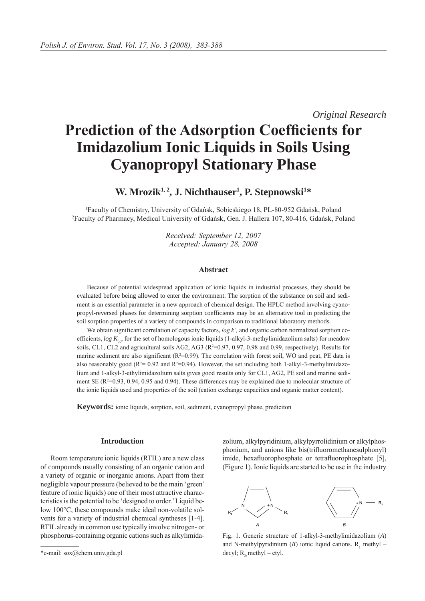*Original Research*

# **Prediction of the Adsorption Coefficients for Imidazolium Ionic Liquids in Soils Using Cyanopropyl Stationary Phase**

**W. Mrozik1, 2, J. Nichthauser1 , P. Stepnowski1 \***

1 Faculty of Chemistry, University of Gdańsk, Sobieskiego 18, PL-80-952 Gdańsk, Poland 2 Faculty of Pharmacy, Medical University of Gdańsk, Gen. J. Hallera 107, 80-416, Gdańsk, Poland

> *Received: September 12, 2007 Accepted: January 28, 2008*

### **Abstract**

Because of potential widespread application of ionic liquids in industrial processes, they should be evaluated before being allowed to enter the environment. The sorption of the substance on soil and sediment is an essential parameter in a new approach of chemical design. The HPLC method involving cyanopropyl-reversed phases for determining sorption coefficients may be an alternative tool in predicting the soil sorption properties of a variety of compounds in comparison to traditional laboratory methods.

We obtain significant correlation of capacity factors, *log k'*, and organic carbon normalized sorption coefficients,  $log K_{\infty}$ , for the set of homologous ionic liquids (1-alkyl-3-methylimidazolium salts) for meadow soils, CL1, CL2 and agricultural soils AG2, AG3 ( $R^2=0.97$ , 0.97, 0.98 and 0.99, respectively). Results for marine sediment are also significant  $(R^2=0.99)$ . The correlation with forest soil, WO and peat, PE data is also reasonably good ( $R^2 = 0.92$  and  $R^2 = 0.94$ ). However, the set including both 1-alkyl-3-methylimidazolium and 1-alkyl-3-ethylimidazolium salts gives good results only for CL1, AG2, PE soil and marine sediment SE ( $R^2$ =0.93, 0.94, 0.95 and 0.94). These differences may be explained due to molecular structure of the ionic liquids used and properties of the soil (cation exchange capacities and organic matter content).

**Keywords:** ionic liquids, sorption, soil, sediment, cyanopropyl phase, prediciton

### **Introduction**

Room temperature ionic liquids (RTIL) are a new class of compounds usually consisting of an organic cation and a variety of organic or inorganic anions. Apart from their negligible vapour pressure (believed to be the main 'green' feature of ionic liquids) one of their most attractive characteristics is the potential to be 'designed to order.' Liquid below 100°C, these compounds make ideal non-volatile solvents for a variety of industrial chemical syntheses [1-4]. RTIL already in common use typically involve nitrogen- or phosphorus-containing organic cations such as alkylimidazolium, alkylpyridinium, alkylpyrrolidinium or alkylphosphonium, and anions like bis(trifluoromethanesulphonyl) imide, hexafluorophosphate or tetrafluorophosphate [5], (Figure 1). Ionic liquids are started to be use in the industry



Fig. 1. Generic structure of 1-alkyl-3-methylimidazolium (*A*) and N-methylpyridinium  $(B)$  ionic liquid cations. R<sub>1</sub> methyl – decyl;  $R_2$ : methyl – etyl.

<sup>\*</sup>e-mail: sox@chem.univ.gda.pl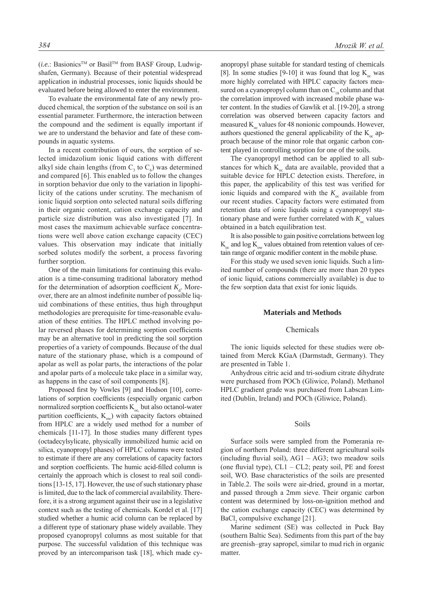(*i.e.*: BasionicsTM or BasilTM from BASF Group, Ludwigshafen, Germany). Because of their potential widespread application in industrial processes, ionic liquids should be evaluated before being allowed to enter the environment.

To evaluate the environmental fate of any newly produced chemical, the sorption of the substance on soil is an essential parameter. Furthermore, the interaction between the compound and the sediment is equally important if we are to understand the behavior and fate of these compounds in aquatic systems.

In a recent contribution of ours, the sorption of selected imidazolium ionic liquid cations with different alkyl side chain lengths (from  $C_3$  to  $C_6$ ) was determined and compared [6]. This enabled us to follow the changes in sorption behavior due only to the variation in lipophilicity of the cations under scrutiny. The mechanism of ionic liquid sorption onto selected natural soils differing in their organic content, cation exchange capacity and particle size distribution was also investigated [7]. In most cases the maximum achievable surface concentrations were well above cation exchange capacity (CEC) values. This observation may indicate that initially sorbed solutes modify the sorbent, a process favoring further sorption.

One of the main limitations for continuing this evaluation is a time-consuming traditional laboratory method for the determination of adsorption coefficient  $K_d$ . Moreover, there are an almost indefinite number of possible liquid combinations of these entities, thus high throughput methodologies are prerequisite for time-reasonable evaluation of these entities. The HPLC method involving polar reversed phases for determining sorption coefficients may be an alternative tool in predicting the soil sorption properties of a variety of compounds. Because of the dual nature of the stationary phase, which is a compound of apolar as well as polar parts, the interactions of the polar and apolar parts of a molecule take place in a similar way, as happens in the case of soil components [8].

Proposed first by Vowles [9] and Hodson [10], correlations of sorption coefficients (especially organic carbon normalized sorption coefficients  $K_{oc}$  but also octanol-water partition coefficients,  $K_{\infty}$ ) with capacity factors obtained from HPLC are a widely used method for a number of chemicals [11-17]. In those studies many different types (octadecylsylicate, physically immobilized humic acid on silica, cyanopropyl phases) of HPLC columns were tested to estimate if there are any correlations of capacity factors and sorption coefficients. The humic acid-filled column is certainly the approach which is closest to real soil conditions [13-15, 17]. However, the use of such stationary phase is limited, due to the lack of commercial availability. Therefore, it is a strong argument against their use in a legislative context such as the testing of chemicals. Kordel et al. [17] studied whether a humic acid column can be replaced by a different type of stationary phase widely available. They proposed cyanopropyl columns as most suitable for that purpose. The successful validation of this technique was proved by an intercomparison task [18], which made cy-

anopropyl phase suitable for standard testing of chemicals [8]. In some studies [9-10] it was found that  $\log K_{\text{oc}}$  was more highly correlated with HPLC capacity factors measured on a cyanopropyl column than on  $C_{18}$  column and that the correlation improved with increased mobile phase water content. In the studies of Gawlik et al. [19-20], a strong correlation was observed between capacity factors and measured  $K_{\alpha}$  values for 48 nonionic compounds. However, authors questioned the general applicability of the  $K_{\infty}$  approach because of the minor role that organic carbon content played in controlling sorption for one of the soils.

The cyanopropyl method can be applied to all substances for which  $K_{\alpha}$  data are available, provided that a suitable device for HPLC detection exists. Therefore, in this paper, the applicability of this test was verified for ionic liquids and compared with the  $K_{\infty}$  available from our recent studies. Capacity factors were estimated from retention data of ionic liquids using a cyanopropyl stationary phase and were further correlated with  $K_{\infty}$  values obtained in a batch equilibration test.

It is also possible to gain positive correlations between log  $K_{\infty}$  and log  $K_{\infty}$  values obtained from retention values of certain range of organic modifier content in the mobile phase.

For this study we used seven ionic liquids. Such a limited number of compounds (there are more than 20 types of ionic liquid, cations commercially available) is due to the few sorption data that exist for ionic liquids.

# **Materials and Methods**

# Chemicals

The ionic liquids selected for these studies were obtained from Merck KGaA (Darmstadt, Germany). They are presented in Table 1.

Anhydrous citric acid and tri-sodium citrate dihydrate were purchased from POCh (Gliwice, Poland). Methanol HPLC gradient grade was purchased from Labscan Limited (Dublin, Ireland) and POCh (Gliwice, Poland).

# Soils

Surface soils were sampled from the Pomerania region of northern Poland: three different agricultural soils (including fluvial soil),  $AG1 - AG3$ ; two meadow soils (one fluvial type),  $CL1 - CL2$ ; peaty soil, PE and forest soil, WO. Base characteristics of the soils are presented in Table.2. The soils were air-dried, ground in a mortar, and passed through a 2mm sieve. Their organic carbon content was determined by loss-on-ignition method and the cation exchange capacity (CEC) was determined by  $BaCl<sub>2</sub>$  compulsive exchange [21].

Marine sediment (SE) was collected in Puck Bay (southern Baltic Sea). Sediments from this part of the bay are greenish–gray sapropel, similar to mud rich in organic matter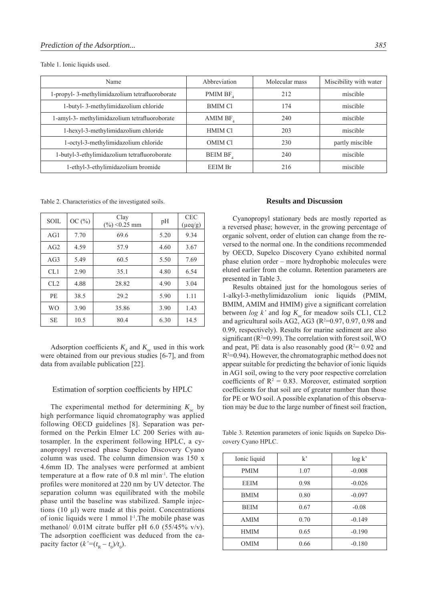Table 1. Ionic liquids used.

| Name                                           | Abbreviation   | Molecular mass | Miscibility with water |
|------------------------------------------------|----------------|----------------|------------------------|
| 1-propyl-3-methylimidazolium tetrafluoroborate | PMIM BF.       | 212            | miscible               |
| 1-butyl-3-methylimidazolium chloride           | <b>BMIM CI</b> | 174            | miscible               |
| 1-amyl-3- methylimidazolium tetrafluoroborate  | AMIM BF.       | 240            | miscible               |
| 1-hexyl-3-methylimidazolium chloride           | <b>HMIM Cl</b> | 203            | miscible               |
| 1-octyl-3-methylimidazolium chloride           | <b>OMIM CI</b> | 230            | partly miscible        |
| 1-butyl-3-ethylimidazolium tetrafluoroborate   | <b>BEIM BF</b> | 240            | miscible               |
| 1-ethyl-3-ethylimidazolium bromide             | <b>EEIM Br</b> | 216            | miscible               |

Table 2. Characteristics of the investigated soils.

| <b>SOIL</b> | OC $(\% )$ | Clay<br>$(\%)<0.25$ mm | pH   | <b>CEC</b><br>$(\mu$ eq/g) |  |
|-------------|------------|------------------------|------|----------------------------|--|
| AG1         | 7.70       | 69.6                   | 5.20 | 9.34                       |  |
| AG2         | 4.59       | 57.9                   | 4.60 | 3.67                       |  |
| AG3         | 5.49       | 60.5                   | 5.50 | 7.69                       |  |
| CL1         | 2.90       | 35.1                   | 4.80 | 6.54                       |  |
| CL2         | 4.88       | 28.82                  | 4.90 | 3.04                       |  |
| PE          | 38.5       | 29.2                   | 5.90 | 1.11                       |  |
| <b>WO</b>   | 3.90       | 35.86                  | 3.90 | 1.43                       |  |
| <b>SE</b>   | 10.5       | 80.4                   | 6.30 | 14.5                       |  |

Adsorption coefficients  $K_d$  and  $K_{oc}$  used in this work were obtained from our previous studies [6-7], and from data from available publication [22].

#### Estimation of sorption coefficients by HPLC

The experimental method for determining  $K_{\infty}$  by high performance liquid chromatography was applied following OECD guidelines [8]. Separation was performed on the Perkin Elmer LC 200 Series with autosampler. In the experiment following HPLC, a cyanopropyl reversed phase Supelco Discovery Cyano column was used. The column dimension was 150 x 4.6mm ID. The analyses were performed at ambient temperature at a flow rate of 0.8 ml min-1. The elution profiles were monitored at 220 nm by UV detector. The separation column was equilibrated with the mobile phase until the baseline was stabilized. Sample injections  $(10 \mu l)$  were made at this point. Concentrations of ionic liquids were 1 mmol l-1.The mobile phase was methanol/ 0.01M citrate buffer pH 6.0 (55/45% v/v). The adsorption coefficient was deduced from the capacity factor  $(k'=(t_{R}-t_{0})/t_{0})$ .

# **Results and Discussion**

Cyanopropyl stationary beds are mostly reported as a reversed phase; however, in the growing percentage of organic solvent, order of elution can change from the reversed to the normal one. In the conditions recommended by OECD, Supelco Discovery Cyano exhibited normal phase elution order – more hydrophobic molecules were eluted earlier from the column. Retention parameters are presented in Table 3.

Results obtained just for the homologous series of 1-alkyl-3-methylimidazolium ionic liquids (PMIM, BMIM, AMIM and HMIM) give a significant correlation between  $log k'$  and  $log K_{oc}$  for meadow soils CL1, CL2 and agricultural soils AG2, AG3 ( $R^2=0.97$ , 0.97, 0.98 and 0.99, respectively). Results for marine sediment are also significant ( $R^2=0.99$ ). The correlation with forest soil, WO and peat, PE data is also reasonably good ( $R<sup>2</sup>= 0.92$  and  $R<sup>2</sup>=0.94$ ). However, the chromatographic method does not appear suitable for predicting the behavior of ionic liquids in AG1 soil, owing to the very poor respective correlation coefficients of  $R^2 = 0.83$ . Moreover, estimated sorption coefficients for that soil are of greater number than those for PE or WO soil. A possible explanation of this observation may be due to the large number of finest soil fraction,

Table 3. Retention parameters of ionic liquids on Supelco Discovery Cyano HPLC.

| Ionic liquid | $k^{\prime}$ | log k'   |
|--------------|--------------|----------|
| <b>PMIM</b>  | 1.07         | $-0.008$ |
| <b>EEIM</b>  | 0.98         | $-0.026$ |
| <b>BMIM</b>  | 0.80         | $-0.097$ |
| <b>BEIM</b>  | 0.67         | $-0.08$  |
| <b>AMIM</b>  | 0.70         | $-0.149$ |
| <b>HMIM</b>  | 0.65         | $-0.190$ |
| <b>OMIM</b>  | 0.66         | $-0.180$ |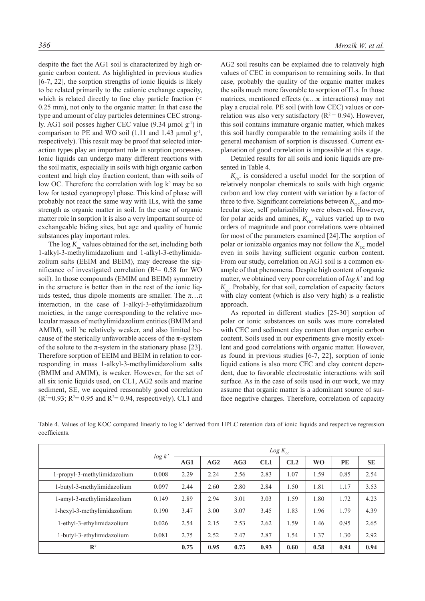despite the fact the AG1 soil is characterized by high organic carbon content. As highlighted in previous studies [6-7, 22], the sorption strengths of ionic liquids is likely to be related primarily to the cationic exchange capacity, which is related directly to fine clay particle fraction (< 0.25 mm), not only to the organic matter. In that case the type and amount of clay particles determines CEC strongly. AG1 soil posses higher CEC value  $(9.34 \text{ µmol g}^{-1})$  in comparison to PE and WO soil (1.11 and 1.43  $\mu$ mol  $g^{-1}$ , respectively). This result may be proof that selected interaction types play an important role in sorption processes. Ionic liquids can undergo many different reactions with the soil matix, especially in soils with high organic carbon content and high clay fraction content, than with soils of low OC. Therefore the correlation with log k' may be so low for tested cyanopropyl phase. This kind of phase will probably not react the same way with ILs, with the same strength as organic matter in soil. In the case of organic matter role in sorption it is also a very important source of exchangeable biding sites, but age and quality of humic substances play important roles.

The log  $K_{\text{oc}}$  values obtained for the set, including both 1-alkyl-3-methylimidazolium and 1-alkyl-3-ethylimidazolium salts (EEIM and BEIM), may decrease the significance of investigated correlation ( $R<sup>2</sup>= 0.58$  for WO soil). In those compounds (EMIM and BEIM) symmetry in the structure is better than in the rest of the ionic liquids tested, thus dipole moments are smaller. The  $\pi \dots \pi$ interaction, in the case of 1-alkyl-3-ethylimidazolium moieties, in the range corresponding to the relative molecular masses of methylimidazolium entities (BMIM and AMIM), will be relatively weaker, and also limited because of the sterically unfavorable access of the  $\pi$ -system of the solute to the  $\pi$ -system in the stationary phase [23]. Therefore sorption of EEIM and BEIM in relation to corresponding in mass 1-alkyl-3-methylimidazolium salts (BMIM and AMIM), is weaker. However, for the set of all six ionic liquids used, on CL1, AG2 soils and marine sediment, SE, we acquired reasonably good correlation  $(R^2=0.93; R^2=0.95$  and  $R^2=0.94$ , respectively). CL1 and AG2 soil results can be explained due to relatively high values of CEC in comparison to remaining soils. In that case, probably the quality of the organic matter makes the soils much more favorable to sorption of ILs. In those matrices, mentioned effects  $(\pi \dots \pi$  interactions) may not play a crucial role. PE soil (with low CEC) values or correlation was also very satisfactory ( $R^2 = 0.94$ ). However, this soil contains immature organic matter, which makes this soil hardly comparable to the remaining soils if the general mechanism of sorption is discussed. Current explanation of good correlation is impossible at this stage.

Detailed results for all soils and ionic liquids are presented in Table 4.

 $K_{\rm OC}$  is considered a useful model for the sorption of relatively nonpolar chemicals to soils with high organic carbon and low clay content with variation by a factor of three to five. Significant correlations between  $K_{\alpha}$  and molecular size, self polarizability were observed. However, for polar acids and amines,  $K_{\text{OC}}$  values varied up to two orders of magnitude and poor correlations were obtained for most of the parameters examined [24].The sorption of polar or ionizable organics may not follow the  $K_{\text{oc}}$  model even in soils having sufficient organic carbon content. From our study, correlation on AG1 soil is a common example of that phenomena. Despite high content of organic matter, we obtained very poor correlation of *log k'* and *log*   $K_{\rm oc}$ . Probably, for that soil, correlation of capacity factors with clay content (which is also very high) is a realistic approach.

As reported in different studies [25-30] sorption of polar or ionic substances on soils was more correlated with CEC and sediment clay content than organic carbon content. Soils used in our experiments give mostly excellent and good correlations with organic matter. However, as found in previous studies [6-7, 22], sorption of ionic liquid cations is also more CEC and clay content dependent, due to favorable electrostatic interactions with soil surface. As in the case of soils used in our work, we may assume that organic matter is a adominant source of surface negative charges. Therefore, correlation of capacity

|               | Table 4. Values of log KOC compared linearly to log k' derived from HPLC retention data of ionic liquids and respective regression |  |  |  |  |  |  |  |
|---------------|------------------------------------------------------------------------------------------------------------------------------------|--|--|--|--|--|--|--|
| coefficients. |                                                                                                                                    |  |  |  |  |  |  |  |

|                              |        | $Log K_{oc}$ |      |      |      |      |           |           |           |  |
|------------------------------|--------|--------------|------|------|------|------|-----------|-----------|-----------|--|
|                              | log k' | AG1          | AG2  | AG3  | CL1  | CL2  | <b>WO</b> | <b>PE</b> | <b>SE</b> |  |
| 1-propyl-3-methylimidazolium | 0.008  | 2.29         | 2.24 | 2.56 | 2.83 | 1.07 | 1.59      | 0.85      | 2.54      |  |
| 1-butyl-3-methylimidazolium  | 0.097  | 2.44         | 2.60 | 2.80 | 2.84 | 1.50 | 1.81      | 1.17      | 3.53      |  |
| 1-amyl-3-methylimidazolium   | 0.149  | 2.89         | 2.94 | 3.01 | 3.03 | 1.59 | 1.80      | 1.72      | 4.23      |  |
| 1-hexyl-3-methylimidazolium  | 0.190  | 3.47         | 3.00 | 3.07 | 3.45 | 1.83 | 1.96      | 1.79      | 4.39      |  |
| 1-ethyl-3-ethylimidazolium   | 0.026  | 2.54         | 2.15 | 2.53 | 2.62 | 1.59 | 1.46      | 0.95      | 2.65      |  |
| 1-butyl-3-ethylimidazolium   | 0.081  | 2.75         | 2.52 | 2.47 | 2.87 | 1.54 | 1.37      | 1.30      | 2.92      |  |
| $\mathbb{R}^2$               |        | 0.75         | 0.95 | 0.75 | 0.93 | 0.60 | 0.58      | 0.94      | 0.94      |  |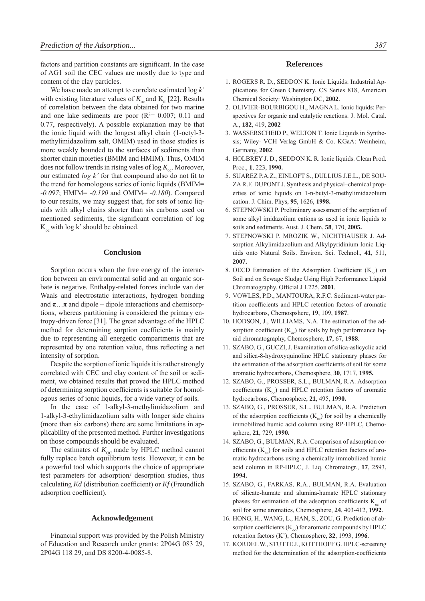factors and partition constants are significant. In the case of AG1 soil the CEC values are mostly due to type and content of the clay particles.

We have made an attempt to correlate estimated log *k'* with existing literature values of  $K_{\infty}$  and  $K_{d}$  [22]. Results of correlation between the data obtained for two marine and one lake sediments are poor  $(R<sup>2</sup>= 0.007; 0.11$  and 0.77, respectively). A possible explanation may be that the ionic liquid with the longest alkyl chain (1-octyl-3 methylimidazolium salt, OMIM) used in those studies is more weakly bounded to the surfaces of sediments than shorter chain moieties (BMIM and HMIM). Thus, OMIM does not follow trends in rising vales of  $\log K_{\text{tot}}$ . Moreover, our estimated *log k'* for that compound also do not fit to the trend for homologous series of ionic liquids (BMIM= *-0.097*; HMIM= *-0.190* and OMIM= *-0.180*). Compared to our results, we may suggest that, for sets of ionic liquids with alkyl chains shorter than six carbons used on mentioned sediments, the significant correlation of log  $K_{\infty}$  with log k' should be obtained.

# **Conclusion**

Sorption occurs when the free energy of the interaction between an environmental solid and an organic sorbate is negative. Enthalpy-related forces include van der Waals and electrostatic interactions, hydrogen bonding and  $\pi$ ...  $\pi$  and dipole – dipole interactions and chemisorptions, whereas partitioning is considered the primary entropy-driven force [31]. The great advantage of the HPLC method for determining sorption coefficients is mainly due to representing all energetic compartments that are represented by one retention value, thus reflecting a net intensity of sorption.

Despite the sorption of ionic liquids it is rather strongly correlated with CEC and clay content of the soil or sediment, we obtained results that proved the HPLC method of determining sorption coefficients is suitable for homologous series of ionic liquids, for a wide variety of soils.

In the case of 1-alkyl-3-methylimidazolium and 1-alkyl-3-ethylimidazolium salts with longer side chains (more than six carbons) there are some limitations in applicability of the presented method. Further investigations on those compounds should be evaluated.

The estimates of  $K_{\alpha}$  made by HPLC method cannot fully replace batch equilibrium tests. However, it can be a powerful tool which supports the choice of appropriate test parameters for adsorption/ desorption studies, thus calculating *Kd* (distribution coefficient) or *Kf* (Freundlich adsorption coefficient).

#### **Acknowledgement**

Financial support was provided by the Polish Ministry of Education and Research under grants: 2P04G 083 29, 2P04G 118 29, and DS 8200-4-0085-8.

#### **References**

- 1. ROGERS R. D., SEDDON K. Ionic Liquids: Industrial Applications for Green Chemistry. CS Series 818, American Chemical Society: Washington DC, **2002**.
- 2. OLIVIER-BOURBIGOU H., MAGNA L. Ionic liquids: Perspectives for organic and catalytic reactions. J. Mol. Catal. A*.*, **182**, 419, **2002**
- 3. WASSERSCHEID P., WELTON T. Ionic Liquids in Synthesis; Wiley- VCH Verlag GmbH & Co. KGaA: Weinheim, Germany, **2002**.
- 4. HOLBREY J. D., SEDDON K. R. Ionic liquids. Clean Prod. Proc., **1**, 223, **1990.**
- 5. SUAREZ P.A.Z., EINLOFT S., DULLIUS J.E.L., DE SOU-ZA R.F. DUPONT J. Synthesis and physical–chemical properties of ionic liquids on 1-n-butyl-3-methylimidazolium cation. J. Chim. Phys, **95**, 1626, **1998.**
- 6. STEPNOWSKI P. Preliminary assessment of the sorption of some alkyl imidazolium cations as used in ionic liquids to soils and sediments. Aust. J. Chem, **58**, 170, **2005.**
- 7. STEPNOWSKI P. MROZIK W., NICHTHAUSER J. Adsorption Alkylimidazolium and Alkylpyridinium Ionic Liquids onto Natural Soils. Environ. Sci. Technol., **41**, 511, **2007.**
- 8. OECD Estimation of the Adsorption Coefficient  $(K)$  on Soil and on Sewage Sludge Using High Performance Liquid Chromatography. Official J L225, **2001**.
- 9. VOWLES, P.D., MANTOURA, R.F.C. Sediment-water partition coefficients and HPLC retention factors of aromatic hydrocarbons, Chemospshere, **19**, 109, **1987**.
- 10. HODSON, J., WILLIAMS, N.A. The estimation of the adsorption coefficient  $(K_{\infty})$  for soils by high performance liquid chromatography, Chemosphere, **17**, 67, **1988**.
- 11. SZABO, G., GUCZI, J. Examination of silica-aslicyclic acid and silica-8-hydroxyquinoline HPLC stationary phases for the estimation of the adsorption coefficients of soil for some aromatic hydrocarbons, Chemosphere, **30**, 1717, **1995.**
- 12. SZABO, G., PROSSER, S.L., BULMAN, R.A. Adsorption coefficients  $(K_{\alpha})$  and HPLC retention factors of aromatic hydrocarbons, Chemosphere, **21**, 495, **1990.**
- 13. SZABO, G., PROSSER, S.L., BULMAN, R.A. Prediction of the adsorption coefficients  $(K_{\alpha})$  for soil by a chemically immobilized humic acid column using RP-HPLC, Chemosphere, **21**, 729, **1990.**
- 14. SZABO, G., BULMAN, R.A. Comparison of adsorption coefficients  $(K_{\infty})$  for soils and HPLC retention factors of aromatic hydrocarbons using a chemically immobilized humic acid column in RP-HPLC, J. Liq. Chromatogr., **17**, 2593, **1994.**
- 15. SZABO, G., FARKAS, R.A., BULMAN, R.A. Evaluation of silicate-humate and alumina-humate HPLC stationary phases for estimation of the adsorption coefficients  $K_{\infty}$  of soil for some aromatics, Chemosphere, **24**, 403-412, **1992**.
- 16. HONG, H., WANG, L., HAN, S., ZOU, G. Prediction of absorption coefficients  $(K_{\sim})$  for aromatic compounds by HPLC retention factors (K'), Chemosphere, **32**, 1993, **1996**.
- 17. KORDEL W., STUTTE J., KOTTHOFF G. HPLC-screening method for the determination of the adsorption-coefficients